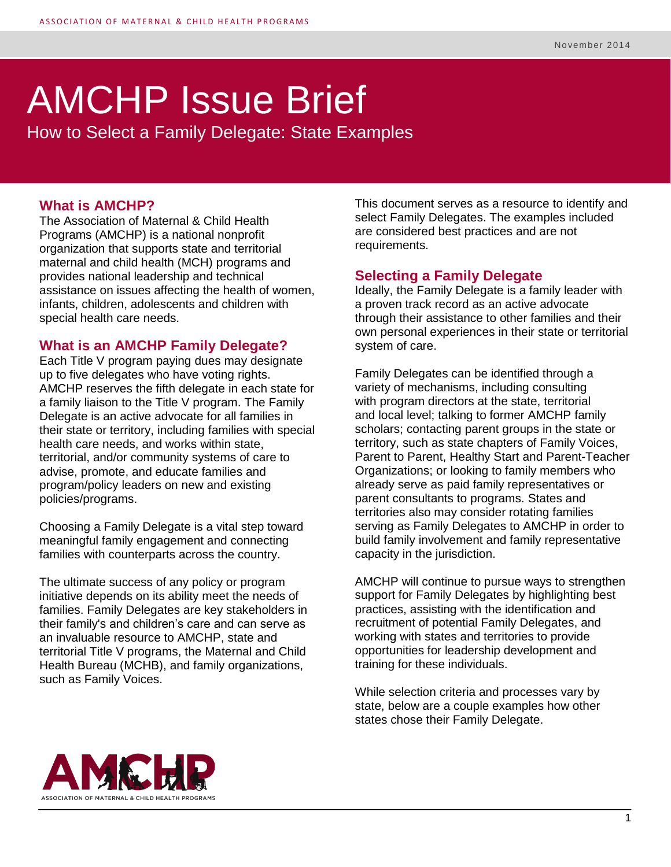# AMCHP Issue Brief

How to Select a Family Delegate: State Examples

#### **What is AMCHP?**

The Association of Maternal & Child Health Programs (AMCHP) is a national nonprofit organization that supports state and territorial maternal and child health (MCH) programs and provides national leadership and technical assistance on issues affecting the health of women, infants, children, adolescents and children with special health care needs.

#### **What is an AMCHP Family Delegate?**

Each Title V program paying dues may designate up to five delegates who have voting rights. AMCHP reserves the fifth delegate in each state for a family liaison to the Title V program. The Family Delegate is an active advocate for all families in their state or territory, including families with special health care needs, and works within state, territorial, and/or community systems of care to advise, promote, and educate families and program/policy leaders on new and existing policies/programs.

Choosing a Family Delegate is a vital step toward meaningful family engagement and connecting families with counterparts across the country.

The ultimate success of any policy or program initiative depends on its ability meet the needs of families. Family Delegates are key stakeholders in their family's and children's care and can serve as an invaluable resource to AMCHP, state and territorial Title V programs, the Maternal and Child Health Bureau (MCHB), and family organizations, such as Family Voices.

This document serves as a resource to identify and select Family Delegates. The examples included are considered best practices and are not requirements.

#### **Selecting a Family Delegate**

Ideally, the Family Delegate is a family leader with a proven track record as an active advocate through their assistance to other families and their own personal experiences in their state or territorial system of care.

Family Delegates can be identified through a variety of mechanisms, including consulting with program directors at the state, territorial and local level; talking to former AMCHP family scholars; contacting parent groups in the state or territory, such as state chapters of Family Voices, Parent to Parent, Healthy Start and Parent-Teacher Organizations; or looking to family members who already serve as paid family representatives or parent consultants to programs. States and territories also may consider rotating families serving as Family Delegates to AMCHP in order to build family involvement and family representative capacity in the jurisdiction.

AMCHP will continue to pursue ways to strengthen support for Family Delegates by highlighting best practices, assisting with the identification and recruitment of potential Family Delegates, and working with states and territories to provide opportunities for leadership development and training for these individuals.

While selection criteria and processes vary by state, below are a couple examples how other states chose their Family Delegate.

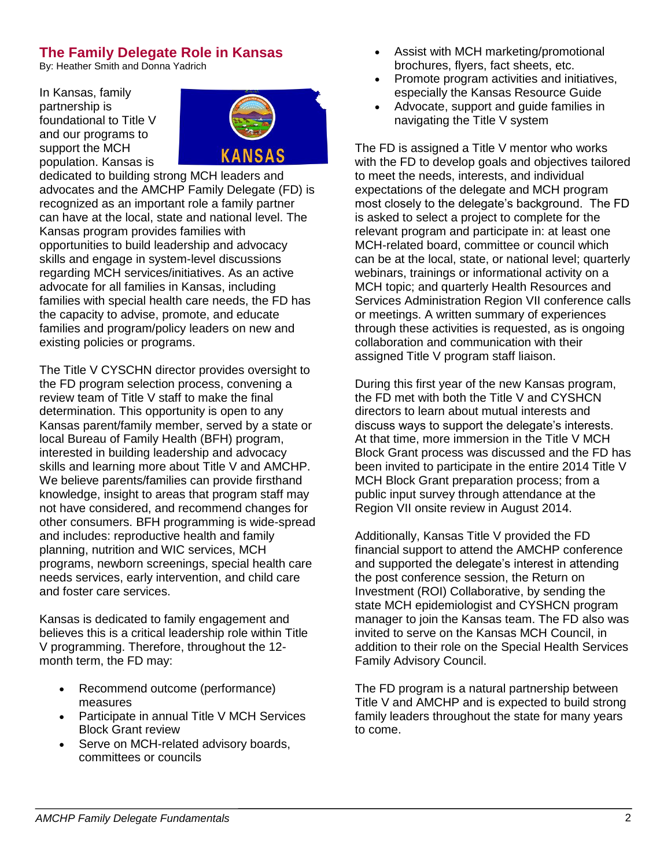### **The Family Delegate Role in Kansas**

By: Heather Smith and Donna Yadrich

In Kansas, family partnership is foundational to Title V and our programs to support the MCH population. Kansas is



dedicated to building strong MCH leaders and advocates and the AMCHP Family Delegate (FD) is recognized as an important role a family partner can have at the local, state and national level. The Kansas program provides families with opportunities to build leadership and advocacy skills and engage in system-level discussions regarding MCH services/initiatives. As an active advocate for all families in Kansas, including families with special health care needs, the FD has the capacity to advise, promote, and educate families and program/policy leaders on new and existing policies or programs.

The Title V CYSCHN director provides oversight to the FD program selection process, convening a review team of Title V staff to make the final determination. This opportunity is open to any Kansas parent/family member, served by a state or local Bureau of Family Health (BFH) program, interested in building leadership and advocacy skills and learning more about Title V and AMCHP. We believe parents/families can provide firsthand knowledge, insight to areas that program staff may not have considered, and recommend changes for other consumers. BFH programming is wide-spread and includes: reproductive health and family planning, nutrition and WIC services, MCH programs, newborn screenings, special health care needs services, early intervention, and child care and foster care services.

Kansas is dedicated to family engagement and believes this is a critical leadership role within Title V programming. Therefore, throughout the 12 month term, the FD may:

- Recommend outcome (performance) measures
- Participate in annual Title V MCH Services Block Grant review
- Serve on MCH-related advisory boards, committees or councils
- Assist with MCH marketing/promotional brochures, flyers, fact sheets, etc.
- Promote program activities and initiatives, especially the Kansas Resource Guide
- Advocate, support and guide families in navigating the Title V system

The FD is assigned a Title V mentor who works with the FD to develop goals and objectives tailored to meet the needs, interests, and individual expectations of the delegate and MCH program most closely to the delegate's background. The FD is asked to select a project to complete for the relevant program and participate in: at least one MCH-related board, committee or council which can be at the local, state, or national level; quarterly webinars, trainings or informational activity on a MCH topic; and quarterly Health Resources and Services Administration Region VII conference calls or meetings. A written summary of experiences through these activities is requested, as is ongoing collaboration and communication with their assigned Title V program staff liaison.

During this first year of the new Kansas program, the FD met with both the Title V and CYSHCN directors to learn about mutual interests and discuss ways to support the delegate's interests. At that time, more immersion in the Title V MCH Block Grant process was discussed and the FD has been invited to participate in the entire 2014 Title V MCH Block Grant preparation process; from a public input survey through attendance at the Region VII onsite review in August 2014.

Additionally, Kansas Title V provided the FD financial support to attend the AMCHP conference and supported the delegate's interest in attending the post conference session, the Return on Investment (ROI) Collaborative, by sending the state MCH epidemiologist and CYSHCN program manager to join the Kansas team. The FD also was invited to serve on the Kansas MCH Council, in addition to their role on the Special Health Services Family Advisory Council.

The FD program is a natural partnership between Title V and AMCHP and is expected to build strong family leaders throughout the state for many years to come.